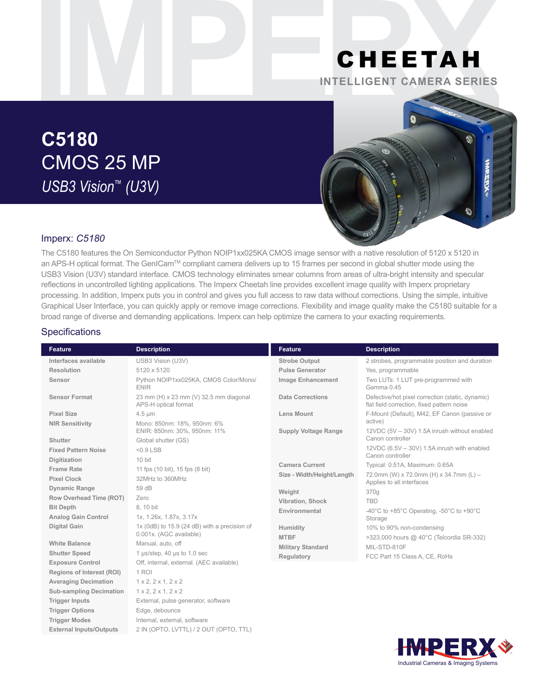## CHEETAH **INTELLIGENT CAMERA SERIES**

# **C5180** CMOS 25 MP *USB3 Vision™ (U3V)*



## Imperx: *C5180*

The C5180 features the On Semiconductor Python NOIP1xx025KA CMOS image sensor with a native resolution of 5120 x 5120 in an APS-H optical format. The GenICam™ compliant camera delivers up to 15 frames per second in global shutter mode using the USB3 Vision (U3V) standard interface. CMOS technology eliminates smear columns from areas of ultra-bright intensity and specular reflections in uncontrolled lighting applications. The Imperx Cheetah line provides excellent image quality with Imperx proprietary processing. In addition, Imperx puts you in control and gives you full access to raw data without corrections. Using the simple, intuitive Graphical User Interface, you can quickly apply or remove image corrections. Flexibility and image quality make the C5180 suitable for a broad range of diverse and demanding applications. Imperx can help optimize the camera to your exacting requirements.

#### **Specifications**

| <b>Feature</b>                   | <b>Description</b>                                             | <b>Feature</b>              | <b>Description</b>                                                                             |
|----------------------------------|----------------------------------------------------------------|-----------------------------|------------------------------------------------------------------------------------------------|
| Interfaces available             | USB3 Vision (U3V)                                              | <b>Strobe Output</b>        | 2 strobes, programmable position and duration                                                  |
| Resolution                       | 5120 x 5120                                                    | <b>Pulse Generator</b>      | Yes, programmable                                                                              |
| Sensor                           | Python NOIP1xx025KA, CMOS Color/Mono/<br><b>ENIR</b>           | <b>Image Enhancement</b>    | Two LUTs: 1 LUT pre-programmed with<br>Gamma 0.45                                              |
| <b>Sensor Format</b>             | 23 mm (H) x 23 mm (V) 32.5 mm diagonal<br>APS-H optical format | <b>Data Corrections</b>     | Defective/hot pixel correction (static, dynamic)<br>flat field correction, fixed pattern noise |
| <b>Pixel Size</b>                | $4.5 \mu m$                                                    | <b>Lens Mount</b>           | F-Mount (Default), M42, EF Canon (passive or                                                   |
| <b>NIR Sensitivity</b>           | Mono: 850nm: 18%, 950nm: 6%<br>ENIR: 850nm: 30%, 950nm: 11%    | <b>Supply Voltage Range</b> | active)<br>12VDC (5V - 30V) 1.5A inrush without enabled                                        |
| Shutter                          | Global shutter (GS)                                            |                             | Canon controller                                                                               |
| <b>Fixed Pattern Noise</b>       | $< 0.9$ LSB                                                    |                             | 12VDC (6.5V - 30V) 1.5A inrush with enabled<br>Canon controller                                |
| Digitization                     | 10 bit                                                         | <b>Camera Current</b>       | Typical: 0.51A, Maximum: 0.65A                                                                 |
| <b>Frame Rate</b>                | 11 fps (10 bit), 15 fps (8 bit)                                | Size - Width/Height/Length  | 72.0mm (W) x 72.0mm (H) x 34.7mm (L) -                                                         |
| <b>Pixel Clock</b>               | 32MHz to 360MHz                                                |                             | Applies to all interfaces                                                                      |
| <b>Dynamic Range</b>             | 59 dB                                                          | Weight                      | 370g                                                                                           |
| Row Overhead Time (ROT)          | Zero                                                           | Vibration, Shock            | <b>TBD</b>                                                                                     |
| <b>Bit Depth</b>                 | 8.10 bit                                                       | Environmental               | -40 $\degree$ C to +85 $\degree$ C Operating, -50 $\degree$ C to +90 $\degree$ C               |
| <b>Analog Gain Control</b>       | 1x, 1.26x, 1.87x, 3.17x                                        |                             | Storage                                                                                        |
| <b>Digital Gain</b>              | $1x$ (0dB) to $15.9$ (24 dB) with a precision of               | Humidity                    | 10% to 90% non-condensing                                                                      |
|                                  | 0.001x. (AGC available)                                        | <b>MTBF</b>                 | >323,000 hours @ 40°C (Telcordia SR-332)                                                       |
| <b>White Balance</b>             | Manual, auto, off                                              | <b>Military Standard</b>    | MIL-STD-810F                                                                                   |
| <b>Shutter Speed</b>             | 1 µs/step, 40 µs to 1.0 sec                                    | Regulatory                  | FCC Part 15 Class A, CE, RoHs                                                                  |
| <b>Exposure Control</b>          | Off, internal, external. (AEC available)                       |                             |                                                                                                |
| <b>Regions of Interest (ROI)</b> | 1 ROI                                                          |                             |                                                                                                |
| <b>Averaging Decimation</b>      | 1 x 2, 2 x 1, 2 x 2                                            |                             |                                                                                                |
| <b>Sub-sampling Decimation</b>   | $1 \times 2$ , $2 \times 1$ , $2 \times 2$                     |                             |                                                                                                |
| <b>Trigger Inputs</b>            | External, pulse generator, software                            |                             |                                                                                                |
| <b>Trigger Options</b>           | Edge, debounce                                                 |                             |                                                                                                |
| <b>Trigger Modes</b>             | Internal, external, software                                   |                             |                                                                                                |
| <b>External Inputs/Outputs</b>   | 2 IN (OPTO, LVTTL) / 2 OUT (OPTO, TTL)                         |                             |                                                                                                |